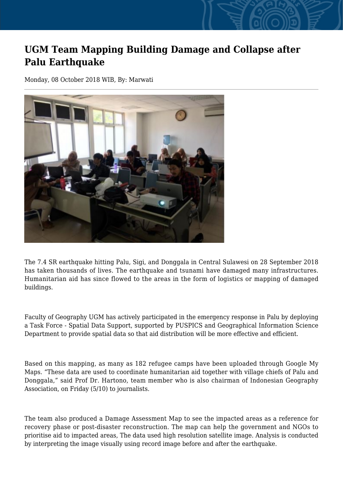## **UGM Team Mapping Building Damage and Collapse after Palu Earthquake**

Monday, 08 October 2018 WIB, By: Marwati



The 7.4 SR earthquake hitting Palu, Sigi, and Donggala in Central Sulawesi on 28 September 2018 has taken thousands of lives. The earthquake and tsunami have damaged many infrastructures. Humanitarian aid has since flowed to the areas in the form of logistics or mapping of damaged buildings.

Faculty of Geography UGM has actively participated in the emergency response in Palu by deploying a Task Force - Spatial Data Support, supported by PUSPICS and Geographical Information Science Department to provide spatial data so that aid distribution will be more effective and efficient.

Based on this mapping, as many as 182 refugee camps have been uploaded through Google My Maps. "These data are used to coordinate humanitarian aid together with village chiefs of Palu and Donggala," said Prof Dr. Hartono, team member who is also chairman of Indonesian Geography Association, on Friday (5/10) to journalists.

The team also produced a Damage Assessment Map to see the impacted areas as a reference for recovery phase or post-disaster reconstruction. The map can help the government and NGOs to prioritise aid to impacted areas, The data used high resolution satellite image. Analysis is conducted by interpreting the image visually using record image before and after the earthquake.